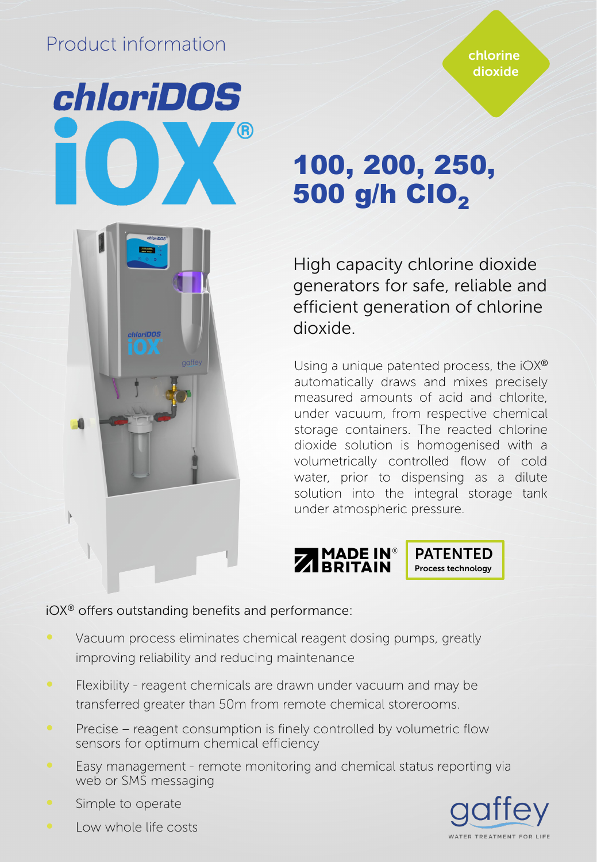# Product information

*chloriDOS* 

chlorine dioxide

# 100, 200, 250, 500 g/h ClO<sub>2</sub>

High capacity chlorine dioxide generators for safe, reliable and efficient generation of chlorine dioxide.

Using a unique patented process, the  $iOX^{\circledast}$ automatically draws and mixes precisely measured amounts of acid and chlorite, under vacuum, from respective chemical storage containers. The reacted chlorine dioxide solution is homogenised with a volumetrically controlled flow of cold water, prior to dispensing as a dilute solution into the integral storage tank under atmospheric pressure.



# iOX® offers outstanding benefits and performance:

- Vacuum process eliminates chemical reagent dosing pumps, greatly improving reliability and reducing maintenance
- ∞ Flexibility reagent chemicals are drawn under vacuum and may be transferred greater than 50m from remote chemical storerooms.
- Precise reagent consumption is finely controlled by volumetric flow sensors for optimum chemical efficiency
- ∞ Easy management remote monitoring and chemical status reporting via web or SMS messaging



∞ Simple to operate

Ì

∞ Low whole life costs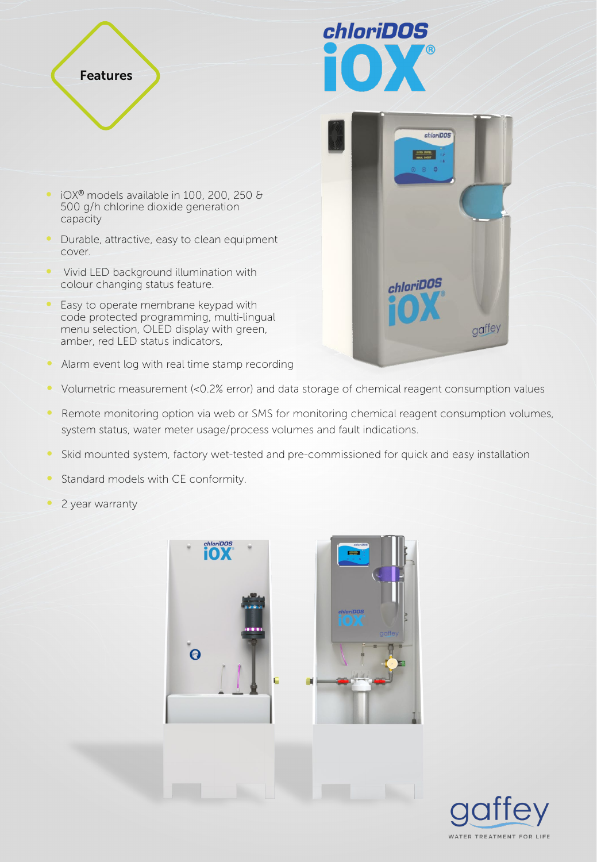



chloriDOS

gaffey

- ∞ iOX® models available in 100, 200, 250 & 500 g/h chlorine dioxide generation capacity
- Durable, attractive, easy to clean equipment cover.
- ∞ Vivid LED background illumination with colour changing status feature.
- Easy to operate membrane keypad with code protected programming, multi-lingual menu selection, OLED display with green, amber, red LED status indicators,
- Alarm event log with real time stamp recording
- ∞ Volumetric measurement (<0.2% error) and data storage of chemical reagent consumption values
- Remote monitoring option via web or SMS for monitoring chemical reagent consumption volumes, system status, water meter usage/process volumes and fault indications.
- Skid mounted system, factory wet-tested and pre-commissioned for quick and easy installation
- Standard models with CE conformity.
- 2 year warranty



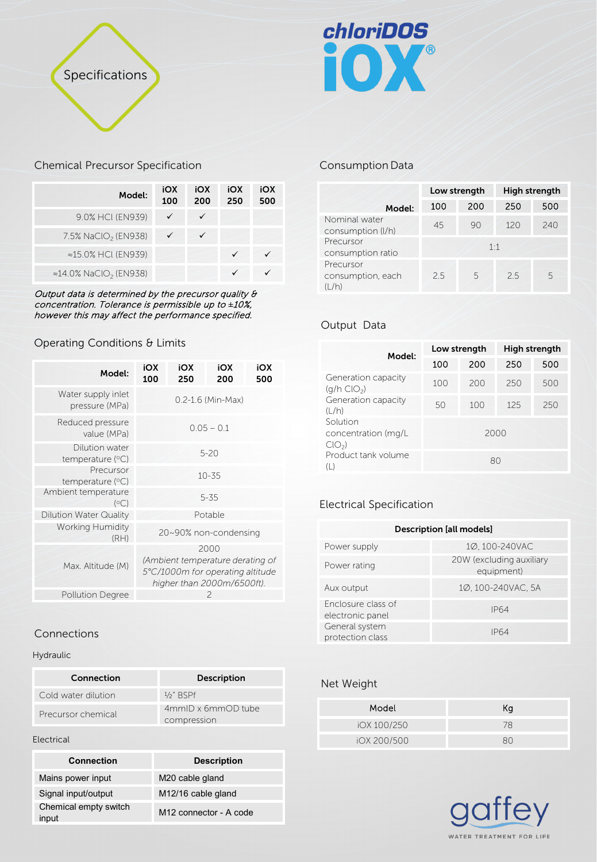



## Chemical Precursor Specification

| Model:                                     | iOX<br>100 | iOX<br>200 | iOX<br>250 | iOX<br>500 |
|--------------------------------------------|------------|------------|------------|------------|
| 9.0% HCl (EN939)                           |            | ✓          |            |            |
| 7.5% NaClO <sub>2</sub> (EN938)            |            |            |            |            |
| ≈15.0% HCl (EN939)                         |            |            |            |            |
| $\approx$ 14.0% NaClO <sub>2</sub> (EN938) |            |            |            |            |

Output data is determined by the precursor quality & concentration. Tolerance is permissible up to *±*10%, however this may affect the performance specified.

# Operating Conditions & Limits

| Model:                               | iOX<br>100        | iOX<br>250 | iOX<br>200                                                     | iOX<br>500 |
|--------------------------------------|-------------------|------------|----------------------------------------------------------------|------------|
| Water supply inlet<br>pressure (MPa) | 0.2-1.6 (Min-Max) |            |                                                                |            |
| Reduced pressure<br>value (MPa)      | $0.05 - 0.1$      |            |                                                                |            |
| Dilution water<br>temperature $(°C)$ | $5 - 20$          |            |                                                                |            |
| Precursor<br>temperature (°C)        | $10 - 35$         |            |                                                                |            |
| Ambient temperature<br>(°C)          | $5 - 35$          |            |                                                                |            |
| Dilution Water Quality               |                   |            | Potable                                                        |            |
| <b>Working Humidity</b><br>(RH)      |                   |            | 20~90% non-condensing                                          |            |
| Max. Altitude (M)                    |                   |            | 2000<br>(Ambient temperature derating of                       |            |
|                                      |                   |            | 5°C/1000m for operating altitude<br>higher than 2000m/6500ft). |            |
| <b>Pollution Degree</b>              | 2                 |            |                                                                |            |

# Connections

#### Hydraulic

| Connection          | <b>Description</b>                |
|---------------------|-----------------------------------|
| Cold water dilution | $1/2$ " RSPf                      |
| Precursor chemical  | 4mmID x 6mmOD tube<br>compression |

Electrical

| <b>Connection</b>              | <b>Description</b>                 |
|--------------------------------|------------------------------------|
| Mains power input              | M20 cable gland                    |
| Signal input/output            | M <sub>12</sub> /16 cable gland    |
| Chemical empty switch<br>input | M <sub>12</sub> connector - A code |

# Consumption Data

|                                          | Low strength |             | High strength |     |
|------------------------------------------|--------------|-------------|---------------|-----|
| Model:                                   | 100          | 200         | 250           | 500 |
| Nominal water<br>consumption (I/h)       | 45           | 90          | 120           | 240 |
| Precursor<br>consumption ratio           |              | $1 \cdot 1$ |               |     |
| Precursor<br>consumption, each<br>(I /h) | 2.5          | 5           | 2.5           | 5   |

# Output Data

| Model:                                           | Low strength |      | High strength |     |
|--------------------------------------------------|--------------|------|---------------|-----|
|                                                  | 100          | 200  | 250           | 500 |
| Generation capacity<br>$(q/h$ ClO <sub>2</sub> ) | 100          | 200  | 250           | 500 |
| Generation capacity<br>(L/h)                     | 50           | 100  | 125           | 250 |
| Solution<br>concentration (mg/L<br>$CIO_{2}$     |              | 2000 |               |     |
| Product tank volume<br>$($   $)$                 |              | 80   |               |     |

# Electrical Specification

| <b>Description [all models]</b>        |                                        |  |  |
|----------------------------------------|----------------------------------------|--|--|
| Power supply                           | 10.100-240VAC                          |  |  |
| Power rating                           | 20W (excluding auxiliary<br>equipment) |  |  |
| Aux output                             | 10, 100-240VAC, 5A                     |  |  |
| Enclosure class of<br>electronic panel | <b>IP64</b>                            |  |  |
| General system<br>protection class     | IP <sub>64</sub>                       |  |  |

## Net Weight

| Model       | Кa |
|-------------|----|
| iOX 100/250 | 78 |
| iOX 200/500 | RΛ |